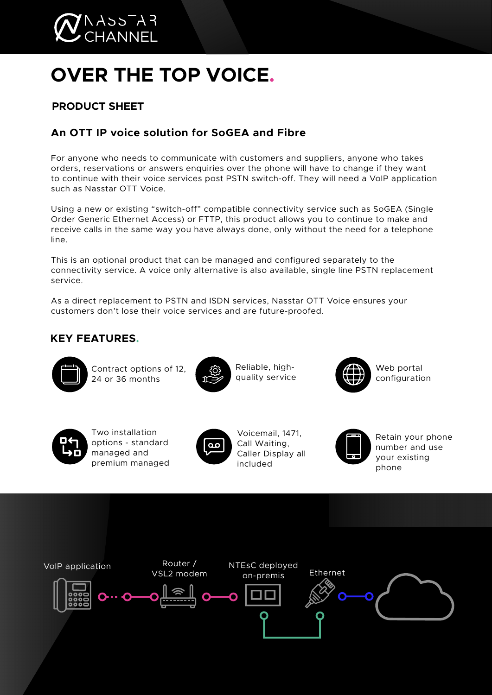

# **OVER THE TOP VOICE.**

## **PRODUCT SHEET**

## **An OTT IP voice solution for SoGEA and Fibre**

For anyone who needs to communicate with customers and suppliers, anyone who takes orders, reservations or answers enquiries over the phone will have to change if they want to continue with their voice services post PSTN switch-off. They will need a VoIP application such as Nasstar OTT Voice.

Using a new or existing "switch-off" compatible connectivity service such as SoGEA (Single Order Generic Ethernet Access) or FTTP, this product allows you to continue to make and receive calls in the same way you have always done, only without the need for a telephone line.

This is an optional product that can be managed and configured separately to the connectivity service. A voice only alternative is also available, single line PSTN replacement service.

As a direct replacement to PSTN and ISDN services, Nasstar OTT Voice ensures your customers don't lose their voice services and are future-proofed.

## **KEY FEATURES.**



Contract options of 12, 24 or 36 months



Reliable, highquality service



Web portal configuration



Two installation options - standard managed and premium managed



Voicemail, 1471, Call Waiting, Caller Display all included



Retain your phone number and use your existing phone

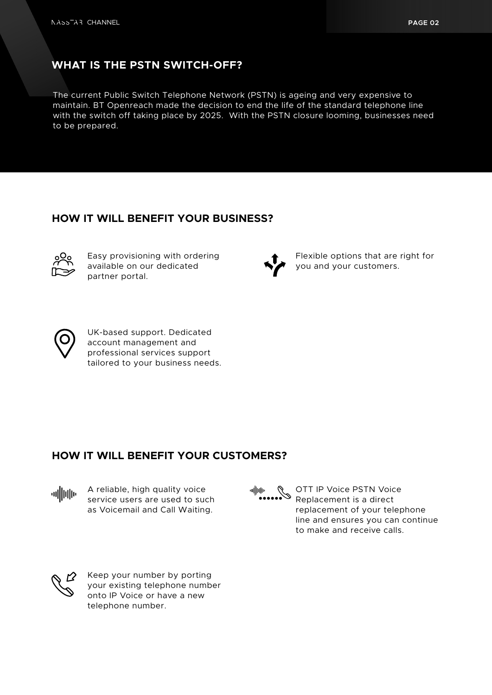## **WHAT IS THE PSTN SWITCH-OFF?**

The current Public Switch Telephone Network (PSTN) is ageing and very expensive to maintain. BT Openreach made the decision to end the life of the standard telephone line with the switch off taking place by 2025. With the PSTN closure looming, businesses need to be prepared.

### **HOW IT WILL BENEFIT YOUR BUSINESS?**



Easy provisioning with ordering available on our dedicated partner portal.



Flexible options that are right for you and your customers.



UK-based support. Dedicated account management and professional services support tailored to your business needs.

#### **HOW IT WILL BENEFIT YOUR CUSTOMERS?**



A reliable, high quality voice service users are used to such as Voicemail and Call Waiting.



OTT IP Voice PSTN Voice Replacement is a direct replacement of your telephone line and ensures you can continue to make and receive calls.



Keep your number by porting your existing telephone number onto IP Voice or have a new telephone number.